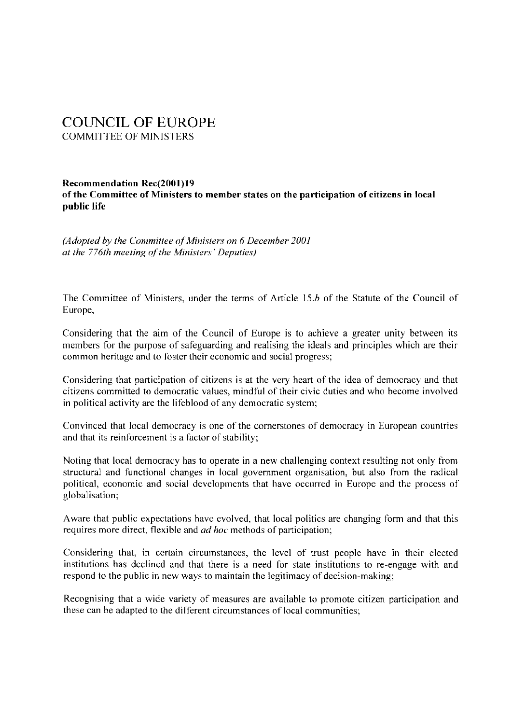# COUNCIL OF EUROPE COMMITTEE OF MINISTERS

#### Recommendation Rec(2001)19 of the Committee of Ministers to member states on the participation of citizens in local public life

*(Adopted by the Committee of Ministers on 6 December 2001 at the 776th meeting of the Ministers' Deputies)* 

The Committee of Ministers, under the terms of Article I *5.b* of the Statute of the Council of Europe,

Considering that the aim of the Council of Europe is to achieve a greater unity between its members for the purpose of safeguarding and realising the ideals and principles which are their common heritage and to foster their economic and social progress;

Considering that participation of citizens is at the very heart of the idea of democracy and that citizens committed to democratic values, mindful of their civic duties and who become involved in political activity are the lifeblood of any democratic system;

Convinced that local democracy is one of the cornerstones of democracy in European countries and that its reinforcement is a factor of stability;

Noting that local democracy has to operate in a new challenging context resulting not only from structural and functional changes in local government organisation, but also from the radical political, economic and social developments that have occurred in Europe and the process of globalisation;

Aware that public expectations have evolved, that local politics are changing form and that this requires more direct, flexible and *ad hoc* methods of participation;

Considering that, in certain circumstances, the level of trust people have in their elected institutions has declined and that there is a need for state institutions to re-engage with and respond to the public in new ways to maintain the legitimacy of decision-making;

Recognising that a wide variety of measures are available to promote citizen participation and these can be adapted to the different circumstances of local communities;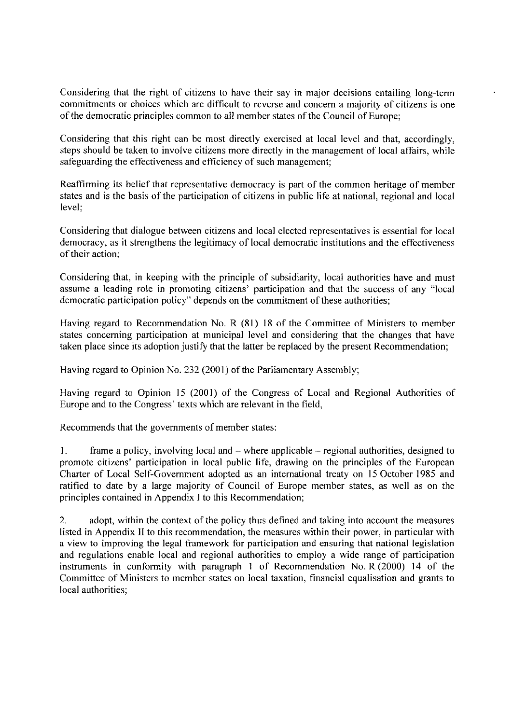Considering that the right of citizens to have their say in major decisions entailing long-term commitments or choices which are difficult to reverse and concern a majority of citizens is one of the democratic principles common to all member states of the Council of Europe;

Considering that this right can be most directly exercised at local level and that, accordingly, steps should be taken to involve citizens more directly in the management of local affairs, while safeguarding the effectiveness and efficiency of such management;

Reaffirming its belief that representative democracy is part of the common heritage of member states and is the basis of the participation of citizens in public life at national, regional and local level;

Considering that dialogue between citizens and local elected representatives is essential for local democracy, as it strengthens the legitimacy of local democratic institutions and the effectiveness of their action;

Considering that, in keeping with the principle of subsidiarity, local authorities have and must assume a leading role in promoting citizens' participation and that the success of any "local democratic participation policy" depends on the commitment of these authorities;

Having regard to Recommendation No. R (81) 18 of the Committee of Ministers to member states concerning participation at municipal level and considering that the changes that have taken place since its adoption justify that the latter be replaced by the present Recommendation;

Having regard to Opinion No. 232 (2001) of the Parliamentary Assembly;

Having regard to Opinion 15 (2001) of the Congress of Local and Regional Authorities of Europe and to the Congress' texts which are relevant in the field,

Recommends that the governments of member states:

1. frame a policy, involving local and -- where applicable -- regional authorities, designed to promote citizens' participation in local public life, drawing on the principles of the European Charter of Local Self-Government adopted as an international treaty on 15 October 1985 and ratified to date by a large majority of Council of Europe member states, as well as on the principles contained in Appendix I to this Recommendation;

2. adopt, within the context of the policy thus defined and taking into account the measures listed in Appendix II to this recommendation, the measures within their power, in particular with a view to improving the legal framework for participation and ensuring that national legislation and regulations enable local and regional authorities to employ a wide range of participation instruments in conformity with paragraph 1 of Recommendation No. R (2000) 14 of the Committee of Ministers to member states on local taxation, financial equalisation and grants to local authorities;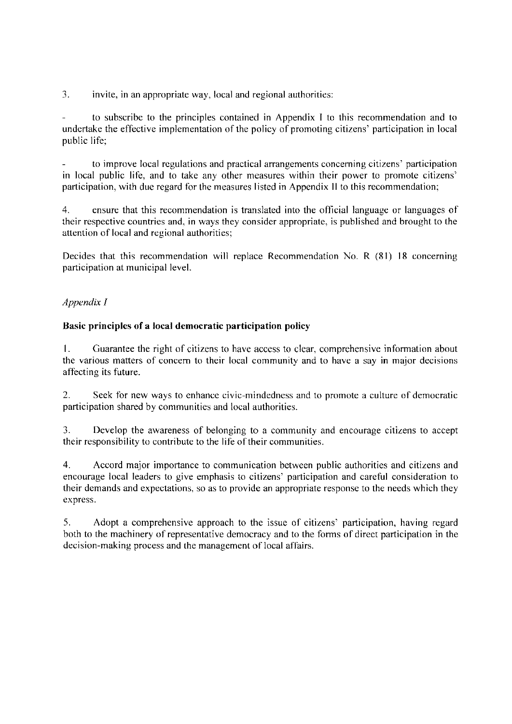3. invite, in an appropriate way, local and regional authorities:

to subscribe to the principles contained in Appendix I to this recommendation and to undertake the effective implementation of the policy of promoting citizens' participation in local public life;

to improve local regulations and practical arrangements concerning citizens' participation in local public life, and to take any other measures within their power to promote citizens' participation, with due regard for the measures listed in Appendix II to this recommendation;

4. ensure that this recommendation is translated into the official language or languages of their respective countries and, in ways they consider appropriate. is published and brought to the attention of local and regional authorities;

Decides that this recommendation will replace Recommendation No. R  $(81)$  18 concerning participation at municipal level.

# *Appendix I*

### **Basic principles of a local democratic participation policy**

I. Guarantee the right of citizens to have access to clear, comprehensive information about the various matters of concern to their local community and to have a say in major decisions affecting its future.

2. Seek tor new ways to enhance civic-mindedness and to promote a culture of democratic participation shared by communities and local authorities.

3. Develop the awareness of belonging to a community and encourage citizens to accept their responsibility to contribute to the life of their communities.

4. Accord major importance to communication between public authorities and citizens and encourage local leaders to give emphasis to citizens' participation and careful consideration to their demands and expectations, so as to provide an appropriate response to the needs which they express.

5. Adopt a comprehensive approach to the issue of citizens' participation, having regard both to the machinery of representative democracy and to the forms of direct participation in the decision-making process and the management of local affairs.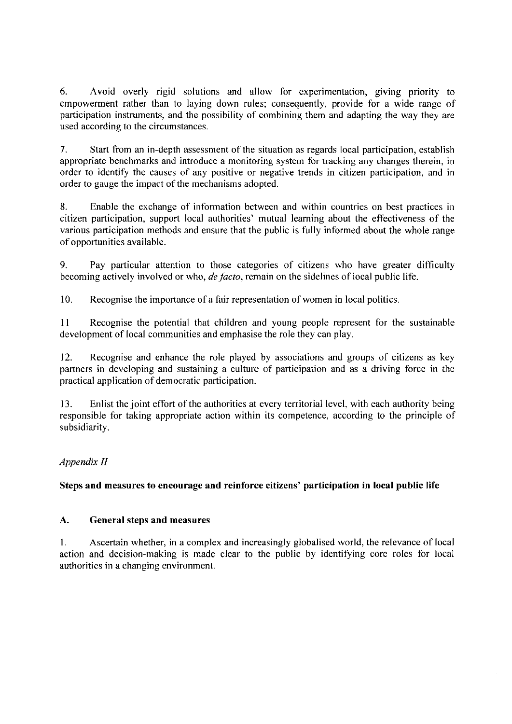6. Avoid overly rigid solutions and allow for experimentation, giving priority to empowerment rather than to laying down rules; consequently, provide for a wide range of participation instruments, and the possibility of combining them and adapting the way they are used according to the circumstances.

7. Start from an in-depth assessment of the situation as regards local participation, establish appropriate benchmarks and introduce a monitoring system for tracking any changes therein, in order to identify the causes of any positive or negative trends in citizen participation, and in order to gauge the impact of the mechanisms adopted.

8. Enable the exchange of information between and within countries on best practices in citizen participation, support local authorities' mutual learning about the effectiveness of the various participation methods and ensure that the public is fully informed about the whole range of opportunities available.

9. Pay particular attention to those categories of citizens who have greater difficulty becoming actively involved or who, *de facto,* remain on the sidelines of local public life.

10. Recognise the importance of a fair representation of women in local politics.

II Recognise the potential that children and young people represent for the sustainable development of local communities and emphasise the role they can play.

12. Recognise and enhance the role played by associations and groups of citizens as key partners in developing and sustaining a culture of participation and as a driving force in the practical application of democratic participation.

13. Enlist the joint effort of the authorities at every territorial level, with each authority being responsible for taking appropriate action within its competence, according to the principle of subsidiarity.

# *Appendix II*

# **Steps and measures to encourage and reinforce citizens' participation in local public life**

# **A. General steps and measures**

I. Ascertain whether, in a complex and increasingly globalised world, the relevance of local action and decision-making is made clear to the public by identifying core roles for local authorities in a changing environment.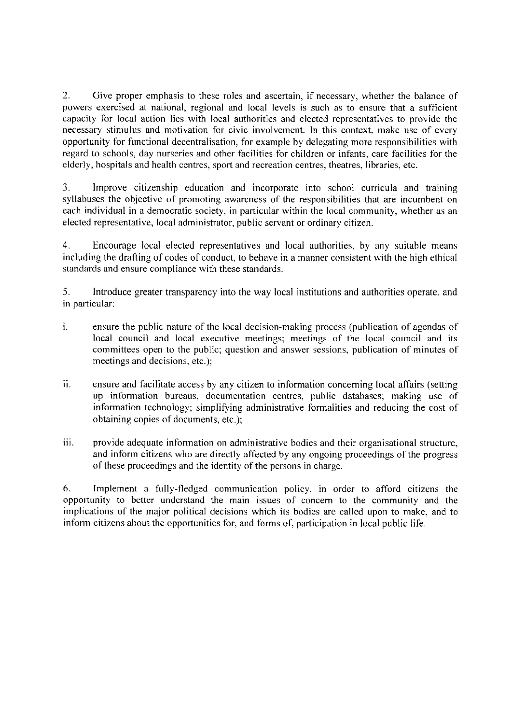2. Give proper emphasis to these roles and ascertain, if necessary, whether the balance of powers exercised at national, regional and local levels is such as to ensure that a sufficient capacity for local action lies with local authorities and elected representatives to provide the necessary stimulus and motivation for civic involvement. In this context, make use of every opportunity for functional decentralisation, for example by delegating more responsibilities with regard to schools, day nurseries and other facilities for children or infants, care facilities for the elderly, hospitals and health centres, sport and recreation centres, theatres, libraries, etc.

3. Improve citizenship education and incorporate into school curricula and training syllabuses the objective of promoting awareness of the responsibilities that are incumbent on each individual in a democratic society, in particular within the local community, whether as an elected representative, local administrator, public servant or ordinary citizen.

4. Encourage local elected representatives and local authorities, by any suitable means including the drafting of codes of conduct, to behave in a manner consistent with the high ethical standards and ensure compliance with these standards.

5. Introduce greater transparency into the way local institutions and authorities operate, and in particular:

- 1. ensure the public nature of the local decision-making process (publication of agendas of local council and local executive meetings; meetings of the local council and its committees open to the public; question and answer sessions, publication of minutes of meetings and decisions, etc.);
- ii. ensure and facilitate access by any citizen to information concerning local affairs (setting up information bureaus, documentation centres, public databases; making use of information technology; simplifying administrative formalities and reducing the cost of obtaining copies of documents, etc.);
- iii. provide adequate information on administrative bodies and their organisational structure, and inform citizens who are directly affected by any ongoing proceedings of the progress of these proceedings and the identity of the persons in charge.

6. Implement a fully-fledged communication policy, in order to afford Citizens the opportunity to better understand the main issues of concern to the community and the implications of the major political decisions which its bodies are called upon to make, and to inform citizens about the opportunities for, and forms of, participation in local public life.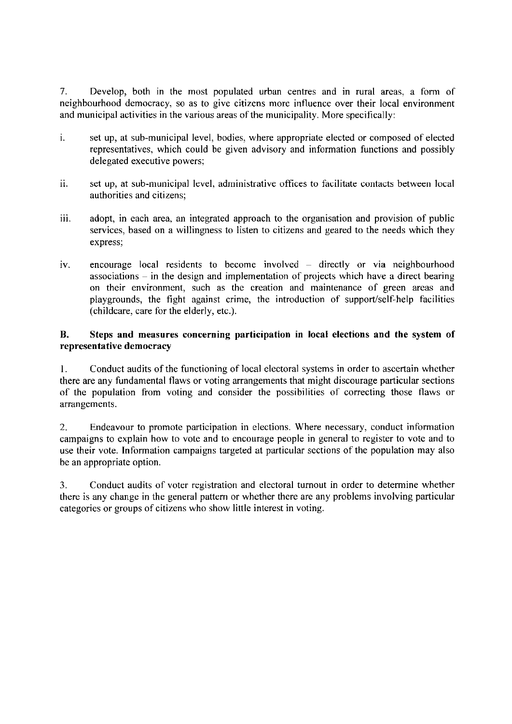7. Develop, both in the most populated urban centres and in rural areas, a form of neighbourhood democracy, so as to give citizens more influence over their local environment and municipal activities in the various areas of the municipality. More specifically:

- 1. set up, at sub-municipal level, bodies, where appropriate elected or composed of elected representatives, which could be given advisory and information functions and possibly delegated executive powers;
- 11. set up, at sub-municipal level, administrative offices to facilitate contacts between local authorities and citizens;
- iii. adopt, in each area, an integrated approach to the organisation and provision of public services, based on a willingness to listen to citizens and geared to the needs which they express;
- iv. encourage local residents to become involved directly or via neighbourhood associations - in the design and implementation of projects which have a direct bearing on their environment, such as the creation and maintenance of green areas and playgrounds, the fight against crime, the introduction of support/self-help facilities (childcare, care for the elderly, etc.).

### **B. Steps and measures concerning participation in local elections and the system of representative democracy**

I. Conduct audits of the functioning of local electoral systems in order to ascertain whether there are any fundamental flaws or voting arrangements that might discourage particular sections of the population from voting and consider the possibilities of correcting those flaws or arrangements.

2. Endeavour to promote participation in elections. Where necessary, conduct information campaigns to explain how to vote and to encourage people in general to register to vote and to use their vote. Information campaigns targeted at particular sections of the population may also be an appropriate option.

3. Conduct audits of voter registration and electoral turnout in order to determine whether there is any change in the general pattern or whether there are any problems involving particular categories or groups of citizens who show little interest in voting.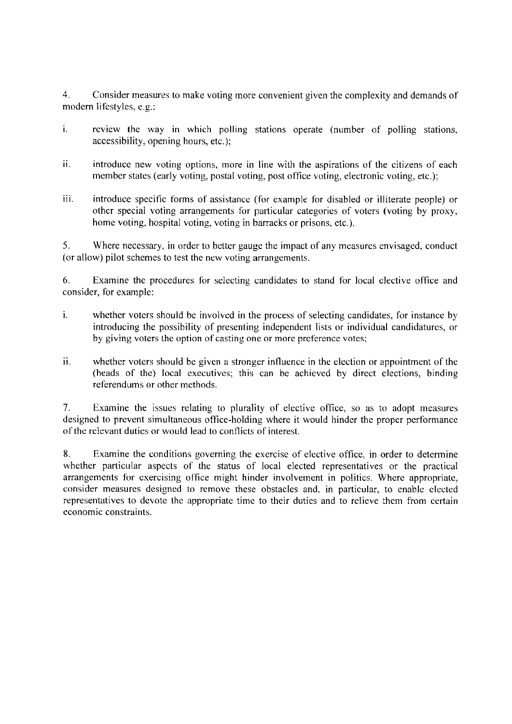4. Consider measures to make voting more convenient given the complexity and demands of modem lifestyles, e.g.:

- i. review the way in which polling stations operate (number of polling stations, accessibility, opening hours, etc.);
- 11. introduce new voting options, more in line with the aspirations of the citizens of each member states (early voting, postal voting, post office voting, electronic voting, etc.);
- iii. introduce specific forms of assistance (for example for disabled or illiterate people) or other special voting arrangements for particular categories of voters (voting by proxy, home voting, hospital voting, voting in barracks or prisons, etc.).

5. Where necessary, in order to better gauge the impact of any measures envisaged, conduct (or allow) pilot schemes to test the new voting arrangements.

6. Examine the procedures for selecting candidates to stand for local elective office and consider, for example:

- 1. whether voters should be involved in the process of selecting candidates, for instance by introducing the possibility of presenting independent lists or individual candidatures, or by giving voters the option of casting one or more preference votes;
- 11. whether voters should be given a stronger influence in the election or appointment of the (heads of the) local executives; this can be achieved by direct elections, binding referendums or other methods.

7. Examine the issues relating to plurality of elective office, so as to adopt measures designed to prevent simultaneous office-holding where it would hinder the proper performance of the relevant duties or would lead to conflicts of interest.

8. Examine the conditions governing the exercise of elective office, in order to determine whether particular aspects of the status of local elected representatives or the practical arrangements for exercising office might hinder involvement in politics. Where appropriate, consider measures designed to remove these obstacles and, in particular, to enable elected representatives to devote the appropriate time to their duties and to relieve them from certain economic constraints.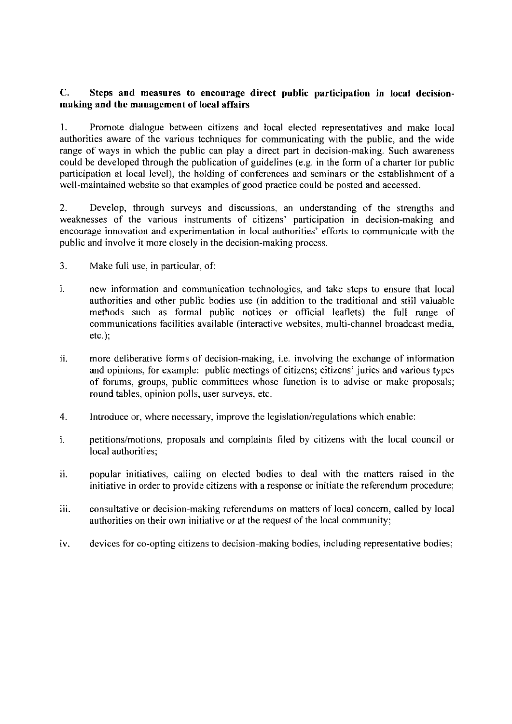### **C. Steps and measures to encourage direct public participation in local decisionmaking and the management of local affairs**

1. Promote dialogue between citizens and local elected representatives and make local authorities aware of the various techniques for communicating with the public, and the wide range of ways in which the public can play a direct part in decision-making. Such awareness could be developed through the publication of guidelines (e.g. in the form of a charter for public participation at local level), the holding of conferences and seminars or the establishment of a well-maintained website so that examples of good practice could be posted and accessed.

2. Develop, through surveys and discussions, an understanding of the strengths and weaknesses of the various instruments of citizens' participation in decision-making and encourage innovation and experimentation in local authorities' efforts to communicate with the public and involve it more closely in the decision-making process.

- 3. Make full use, in particular, of:
- 1. new information and communication technologies, and take steps to ensure that local authorities and other public bodies use (in addition to the traditional and still valuable methods such as formal public notices or official leaflets) the full range of communications facilities available (interactive websites, multi-channel broadcast media, etc.);
- 11. more deliberative forms of decision-making, i.e. involving the exchange of information and opinions, for example: public meetings of citizens; citizens' juries and various types of forums, groups, public committees whose function is to advise or make proposals; round tables, opinion polls, user surveys, etc.
- 4. Introduce or, where necessary, improve the legislation/regulations which enable:
- 1. petitions/motions, proposals and complaints filed by citizens with the local council or local authorities;
- ii. popular initiatives, calling on elected bodies to deal with the matters raised in the initiative in order to provide citizens with a response or initiate the referendum procedure;
- iii. consultative or decision-making referendums on matters of local concern, called by local authorities on their own initiative or at the request of the local community;
- iv. devices for co-opting citizens to decision-making bodies, including representative bodies;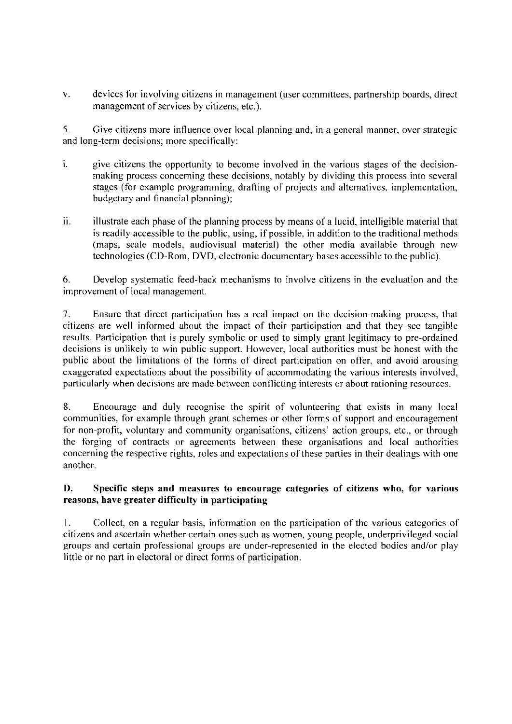v. devices for involving citizens in management (user committees, partnership boards, direct management of services by citizens, etc.).

5. Give citizens more influence over local planning and, in a general manner, over strategic and long-term decisions; more specifically:

- 1. give citizens the opportunity to become involved in the various stages of the decisionmaking process concerning these decisions, notably by dividing this process into several stages (for example programming, drafting of projects and alternatives. implementation, budgetary and financial planning);
- 11. illustrate each phase of the planning process by means of a lucid, intelligible material that is readily accessible to the public, using, if possible. in addition to the traditional methods (maps, scale models, audiovisual material) the other media available through new technologies (CO-Rom, DVD, electronic documentary bases accessible to the public).

6. Develop systematic feed-back mechanisms to involve citizens in the evaluation and the improvement of local management.

7. Ensure that direct participation has a real impact on the decision-making process, that citizens are well informed about the impact of their participation and that they see tangible results. Participation that is purely symbolic or used to simply grant legitimacy to pre-ordained decisions is unlikely to win public support. However, local authorities must be honest with the public about the limitations of the forms of direct participation on offer, and avoid arousing exaggerated expectations about the possibility of accommodating the various interests involved, particularly when decisions are made between conflicting interests or about rationing resources.

8. Encourage and duly recognise the spirit of volunteering that exists in many local communities, for example through grant schemes or other forms of support and encouragement for non-profit, voluntary and community organisations, citizens' action groups, etc., or through the forging of contracts or agreements between these organisations and local authorities concerning the respective rights, roles and expectations of these parties in their dealings with one another.

### **D. Specific steps and measures to encourage categories of citizens who, for various reasons, have greater difficulty in participating**

I. Collect, on a regular basis, information on the participation of the various categories of citizens and ascertain whether certain ones such as women, young people, underprivileged social groups and certain professional groups are under-represented in the elected bodies and/or play little or no part in electoral or direct forms of participation.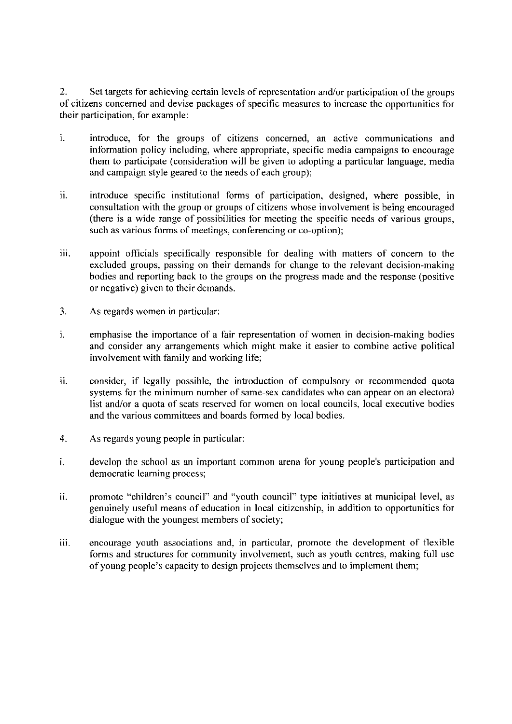2. Set targets for achieving certain levels of representation and/or participation of the groups of citizens concerned and devise packages of specific measures to increase the opportunities for their participation, for example:

- i. introduce, for the groups of citizens concerned, an active communications and information policy including, where appropriate, specific media campaigns to encourage them to participate (consideration will be given to adopting a particular language, media and campaign style geared to the needs of each group);
- ii. introduce specific institutional forms of participation, designed, where possible, in consultation with the group or groups of citizens whose involvement is being encouraged (there is a wide range of possibilities for meeting the specific needs of various groups, such as various forms of meetings, conferencing or co-option);
- ill. appoint officials specifically responsible for dealing with matters of concern to the excluded groups, passing on their demands for change to the relevant decision-making bodies and reporting back to the groups on the progress made and the response (positive or negative) given to their demands.
- 3. As regards women in particular:
- 1. emphasise the importance of a fair representation of women in decision-making bodies and consider any arrangements which might make it easier to combine active political involvement with family and working life;
- ii. consider, if legally possible, the introduction of compulsory or recommended quota systems for the minimum number of same-sex candidates who can appear on an electoral list and/or a quota of seats reserved for women on local councils, local executive bodies and the various committees and boards formed by local bodies.
- 4. As regards young people in particular:
- i. develop the school as an important common arena for young people's participation and democratic learning process;
- 11. promote "children's council" and "youth council" type initiatives at municipal level, as genuinely useful means of education in local citizenship, in addition to opportunities for dialogue with the youngest members of society;
- iii. encourage youth associations and, in particular, promote the development of flexible forms and structures for community involvement, such as youth centres, making full use of young people's capacity to design projects themselves and to implement them;